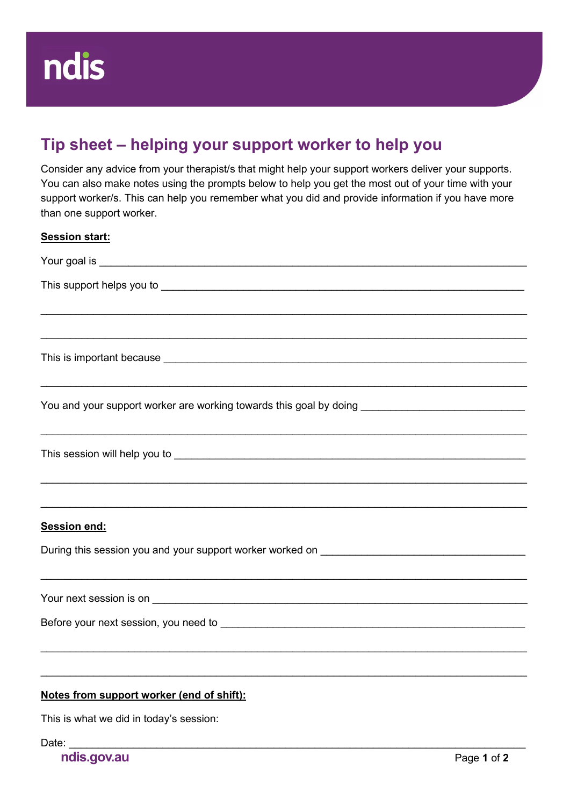## Tip sheet – helping your support worker to help you

Consider any advice from your therapist/s that might help your support workers deliver your supports. You can also make notes using the prompts below to help you get the most out of your time with your support worker/s. This can help you remember what you did and provide information if you have more than one support worker.

| <b>Session start:</b>                                                                                                                                                                                                          |
|--------------------------------------------------------------------------------------------------------------------------------------------------------------------------------------------------------------------------------|
|                                                                                                                                                                                                                                |
|                                                                                                                                                                                                                                |
|                                                                                                                                                                                                                                |
|                                                                                                                                                                                                                                |
| You and your support worker are working towards this goal by doing ________________________________                                                                                                                            |
| This session will help you to entrance and the control of the control of the control of the control of the control of the control of the control of the control of the control of the control of the control of the control of |
|                                                                                                                                                                                                                                |
| Session end:                                                                                                                                                                                                                   |
|                                                                                                                                                                                                                                |
|                                                                                                                                                                                                                                |
|                                                                                                                                                                                                                                |
|                                                                                                                                                                                                                                |
| Notes from support worker (end of shift):                                                                                                                                                                                      |
| This is what we did in today's session:                                                                                                                                                                                        |
| Date:                                                                                                                                                                                                                          |